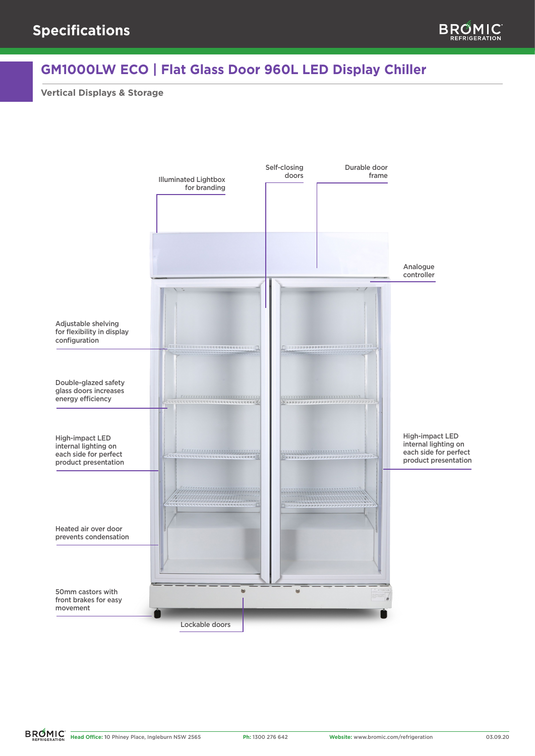## **GM1000LW ECO | Flat Glass Door 960L LED Display Chiller**

**Vertical Displays & Storage**